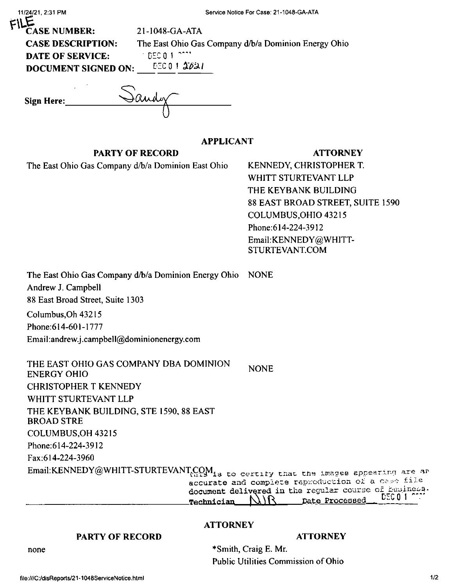| 11/24/21, 2:31 PM                                                                                                                            |                  | Service Notice For Case: 21-1048-GA-ATA                                                                                                                                                                                                |
|----------------------------------------------------------------------------------------------------------------------------------------------|------------------|----------------------------------------------------------------------------------------------------------------------------------------------------------------------------------------------------------------------------------------|
| <b>CASE NUMBER:</b><br>21-1048-GA-ATA<br><b>CASE DESCRIPTION:</b><br><b>INDECIDENT ATA</b><br><b>DATE OF SERVICE:</b><br>DOCUMENT SIGNED ON: | EECO 1 2021      | The East Ohio Gas Company d/b/a Dominion Energy Ohio                                                                                                                                                                                   |
| Sign Here:                                                                                                                                   |                  |                                                                                                                                                                                                                                        |
|                                                                                                                                              | <b>APPLICANT</b> |                                                                                                                                                                                                                                        |
| <b>PARTY OF RECORD</b>                                                                                                                       |                  | <b>ATTORNEY</b>                                                                                                                                                                                                                        |
| The East Ohio Gas Company d/b/a Dominion East Ohio                                                                                           |                  | KENNEDY, CHRISTOPHER T.<br>WHITT STURTEVANT LLP<br>THE KEYBANK BUILDING<br>88 EAST BROAD STREET, SUITE 1590<br>COLUMBUS, OHIO 43215<br>Phone: 614-224-3912<br>Email:KENNEDY@WHITT-<br>STURTEVANT.COM                                   |
| The East Ohio Gas Company d/b/a Dominion Energy Ohio<br>Andrew J. Campbell<br>88 East Broad Street, Suite 1303                               |                  | <b>NONE</b>                                                                                                                                                                                                                            |
| Columbus, Oh 43215                                                                                                                           |                  |                                                                                                                                                                                                                                        |
| Phone: 614-601-1777                                                                                                                          |                  |                                                                                                                                                                                                                                        |
| Email:andrew.j.campbell@dominionenergy.com                                                                                                   |                  |                                                                                                                                                                                                                                        |
| THE EAST OHIO GAS COMPANY DBA DOMINION<br><b>ENERGY OHIO</b>                                                                                 |                  | <b>NONE</b>                                                                                                                                                                                                                            |
| <b>CHRISTOPHER T KENNEDY</b>                                                                                                                 |                  |                                                                                                                                                                                                                                        |
| WHITT STURTEVANT LLP                                                                                                                         |                  |                                                                                                                                                                                                                                        |
| THE KEYBANK BUILDING, STE 1590, 88 EAST<br><b>BROAD STRE</b>                                                                                 |                  |                                                                                                                                                                                                                                        |
| COLUMBUS, OH 43215                                                                                                                           |                  |                                                                                                                                                                                                                                        |
| Phone: 614-224-3912                                                                                                                          |                  |                                                                                                                                                                                                                                        |
| Fax:614-224-3960                                                                                                                             |                  |                                                                                                                                                                                                                                        |
|                                                                                                                                              | Technician       | Email:KENNEDY@WHITT-STURTEVANT <sub>(22M1</sub> to certity that the images appearing are an<br>accurate and complete reproduction of a case file<br>document delivered in the regular course of buniness.<br>DEC 0 1<br>Date Processed |
|                                                                                                                                              | <b>ATTORNEY</b>  |                                                                                                                                                                                                                                        |
| <b>PARTY OF RECORD</b>                                                                                                                       |                  | <b>ATTORNEY</b>                                                                                                                                                                                                                        |

none

\*Smith, Craig E. Mr. Public Utilities Commission of Ohio